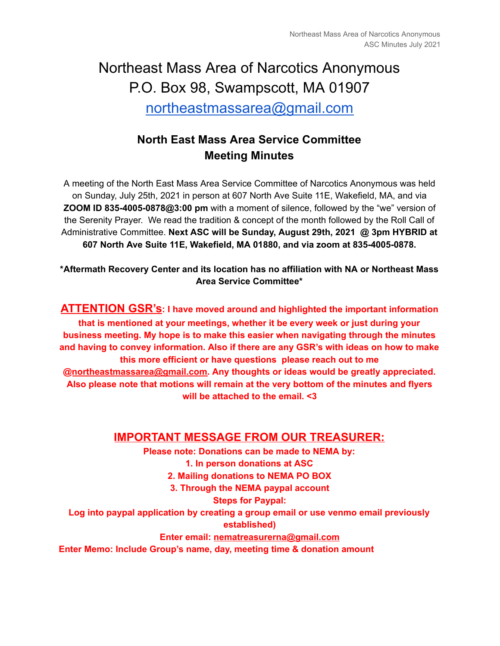# Northeast Mass Area of Narcotics Anonymous P.O. Box 98, Swampscott, MA 01907 [northeastmassarea@gmail.com](mailto:northeastmassarea@gmail.com)

# **North East Mass Area Service Committee Meeting Minutes**

A meeting of the North East Mass Area Service Committee of Narcotics Anonymous was held on Sunday, July 25th, 2021 in person at 607 North Ave Suite 11E, Wakefield, MA, and via **ZOOM ID 835-4005-0878@3:00 pm** with a moment of silence, followed by the "we" version of the Serenity Prayer. We read the tradition & concept of the month followed by the Roll Call of Administrative Committee. **Next ASC will be Sunday, August 29th, 2021 @ 3pm HYBRID at 607 North Ave Suite 11E, Wakefield, MA 01880, and via zoom at 835-4005-0878.**

**\*Aftermath Recovery Center and its location has no affiliation with NA or Northeast Mass Area Service Committee\***

**ATTENTION GSR's: I have moved around and highlighted the important information that is mentioned at your meetings, whether it be every week or just during your business meeting. My hope is to make this easier when navigating through the minutes and having to convey information. Also if there are any GSR's with ideas on how to make this more efficient or have questions please reach out to me @[northeastmassarea@gmail.com.](mailto:northeastmassarea@gmail.com) Any thoughts or ideas would be greatly appreciated. Also please note that motions will remain at the very bottom of the minutes and flyers will be attached to the email. <3**

### **IMPORTANT MESSAGE FROM OUR TREASURER:**

**Please note: Donations can be made to NEMA by: 1. In person donations at ASC 2. Mailing donations to NEMA PO BOX 3. Through the NEMA paypal account Steps for Paypal: Log into paypal application by creating a group email or use venmo email previously established) Enter email: [nematreasurerna@gmail.com](mailto:nematreasurerna@gmail.com) Enter Memo: Include Group's name, day, meeting time & donation amount**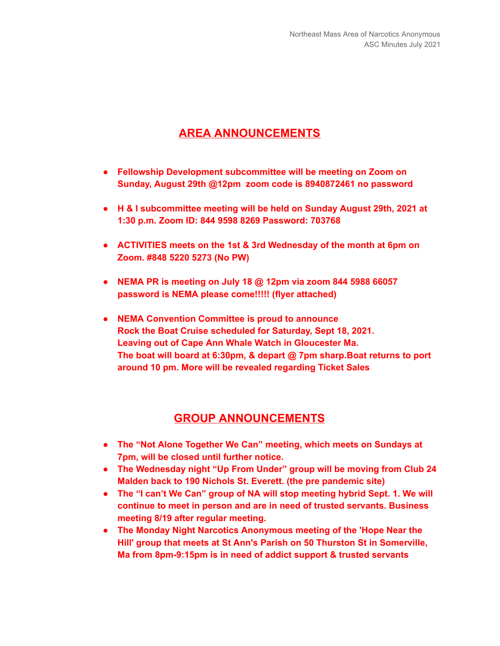# **AREA ANNOUNCEMENTS**

- **● Fellowship Development subcommittee will be meeting on Zoom on Sunday, August 29th @12pm zoom code is 8940872461 no password**
- **● H & I subcommittee meeting will be held on Sunday August 29th, 2021 at 1:30 p.m. Zoom ID: 844 9598 8269 Password: 703768**
- **● ACTIVITIES meets on the 1st & 3rd Wednesday of the month at 6pm on Zoom. #848 5220 5273 (No PW)**
- **● NEMA PR is meeting on July 18 @ 12pm via zoom 844 5988 66057 password is NEMA please come!!!!! (flyer attached)**
- **● NEMA Convention Committee is proud to announce Rock the Boat Cruise scheduled for Saturday, Sept 18, 2021. Leaving out of Cape Ann Whale Watch in Gloucester Ma. The boat will board at 6:30pm, & depart @ 7pm sharp.Boat returns to port around 10 pm. More will be revealed regarding Ticket Sales**

#### **GROUP ANNOUNCEMENTS**

- **● The "Not Alone Together We Can" meeting, which meets on Sundays at 7pm, will be closed until further notice.**
- **● The Wednesday night "Up From Under" group will be moving from Club 24 Malden back to 190 Nichols St. Everett. (the pre pandemic site)**
- **● The "I can't We Can" group of NA will stop meeting hybrid Sept. 1. We will continue to meet in person and are in need of trusted servants. Business meeting 8/19 after regular meeting.**
- **● The Monday Night Narcotics Anonymous meeting of the 'Hope Near the Hill' group that meets at St Ann's Parish on 50 Thurston St in Somerville, Ma from 8pm-9:15pm is in need of addict support & trusted servants**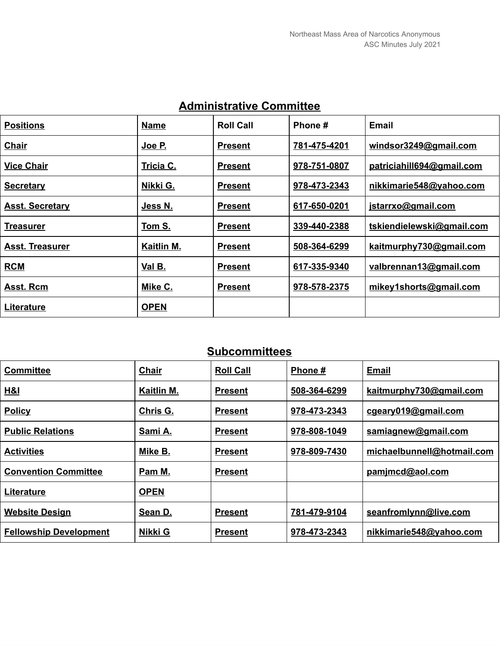| <b>Positions</b>       | <b>Name</b> | <b>Roll Call</b> | Phone #      | <b>Email</b>              |
|------------------------|-------------|------------------|--------------|---------------------------|
| <b>Chair</b>           | Joe P.      | <b>Present</b>   | 781-475-4201 | windsor3249@gmail.com     |
| <b>Vice Chair</b>      | Tricia C.   | <b>Present</b>   | 978-751-0807 | patriciahill694@gmail.com |
| <b>Secretary</b>       | Nikki G.    | <b>Present</b>   | 978-473-2343 | nikkimarie548@yahoo.com   |
| <b>Asst. Secretary</b> | Jess N.     | <b>Present</b>   | 617-650-0201 | jstarrxo@gmail.com        |
| <b>Treasurer</b>       | Tom S.      | <b>Present</b>   | 339-440-2388 | tskiendielewski@gmail.com |
| <b>Asst. Treasurer</b> | Kaitlin M.  | <b>Present</b>   | 508-364-6299 | kaitmurphy730@gmail.com   |
| <b>RCM</b>             | Val B.      | <b>Present</b>   | 617-335-9340 | valbrennan13@gmail.com    |
| Asst. Rcm              | Mike C.     | <b>Present</b>   | 978-578-2375 | mikey1shorts@gmail.com    |
| Literature             | <b>OPEN</b> |                  |              |                           |

# **Administrative Committee**

# **Subcommittees**

| <b>Committee</b>              | Chair       | <b>Roll Call</b> | Phone#       | <b>Email</b>               |
|-------------------------------|-------------|------------------|--------------|----------------------------|
| H&I                           | Kaitlin M.  | <b>Present</b>   | 508-364-6299 | kaitmurphy730@gmail.com    |
| <b>Policy</b>                 | Chris G.    | <b>Present</b>   | 978-473-2343 | cgeary019@gmail.com        |
| <b>Public Relations</b>       | Sami A.     | <b>Present</b>   | 978-808-1049 | samiagnew@gmail.com        |
| <b>Activities</b>             | Mike B.     | <b>Present</b>   | 978-809-7430 | michaelbunnell@hotmail.com |
| <b>Convention Committee</b>   | Pam M.      | <b>Present</b>   |              | pamjmcd@aol.com            |
| Literature                    | <b>OPEN</b> |                  |              |                            |
| <b>Website Design</b>         | Sean D.     | <b>Present</b>   | 781-479-9104 | seanfromlynn@live.com      |
| <b>Fellowship Development</b> | Nikki G     | <b>Present</b>   | 978-473-2343 | nikkimarie548@yahoo.com    |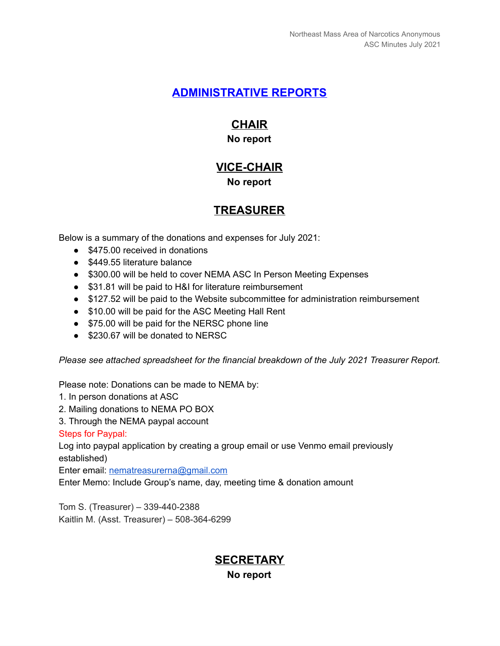### **ADMINISTRATIVE REPORTS**

# **CHAIR**

#### **No report**

### **VICE-CHAIR No report**

# **TREASURER**

Below is a summary of the donations and expenses for July 2021:

- \$475.00 received in donations
- \$449.55 literature balance
- \$300.00 will be held to cover NEMA ASC In Person Meeting Expenses
- \$31.81 will be paid to H&I for literature reimbursement
- \$127.52 will be paid to the Website subcommittee for administration reimbursement
- \$10.00 will be paid for the ASC Meeting Hall Rent
- \$75.00 will be paid for the NERSC phone line
- \$230.67 will be donated to NERSC

*Please see attached spreadsheet for the financial breakdown of the July 2021 Treasurer Report.*

Please note: Donations can be made to NEMA by:

- 1. In person donations at ASC
- 2. Mailing donations to NEMA PO BOX
- 3. Through the NEMA paypal account

Steps for Paypal:

Log into paypal application by creating a group email or use Venmo email previously established)

Enter email: [nematreasurerna@gmail.com](mailto:nematreasurerna@gmail.com)

Enter Memo: Include Group's name, day, meeting time & donation amount

Tom S. (Treasurer) – 339-440-2388 Kaitlin M. (Asst. Treasurer) – 508-364-6299

### **SECRETARY No report**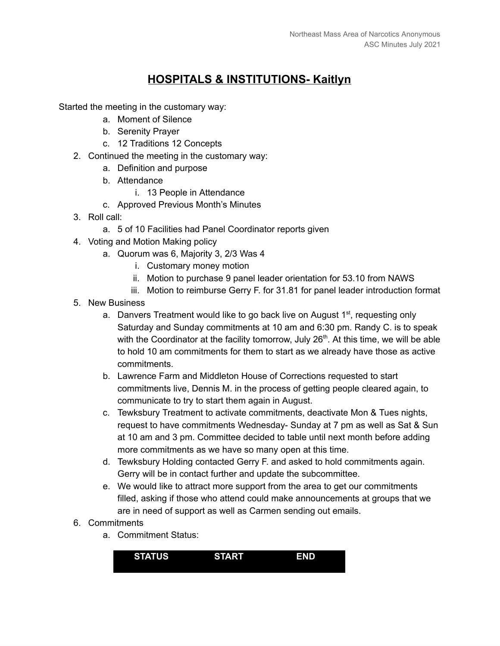# **HOSPITALS & INSTITUTIONS- Kaitlyn**

Started the meeting in the customary way:

- a. Moment of Silence
- b. Serenity Prayer
- c. 12 Traditions 12 Concepts
- 2. Continued the meeting in the customary way:
	- a. Definition and purpose
	- b. Attendance
		- i. 13 People in Attendance
	- c. Approved Previous Month's Minutes
- 3. Roll call:
	- a. 5 of 10 Facilities had Panel Coordinator reports given
- 4. Voting and Motion Making policy
	- a. Quorum was 6, Majority 3, 2/3 Was 4
		- i. Customary money motion
		- ii. Motion to purchase 9 panel leader orientation for 53.10 from NAWS
		- iii. Motion to reimburse Gerry F. for 31.81 for panel leader introduction format
- 5. New Business
	- a. Danvers Treatment would like to go back live on August 1<sup>st</sup>, requesting only Saturday and Sunday commitments at 10 am and 6:30 pm. Randy C. is to speak with the Coordinator at the facility tomorrow, July 26<sup>th</sup>. At this time, we will be able to hold 10 am commitments for them to start as we already have those as active commitments.
	- b. Lawrence Farm and Middleton House of Corrections requested to start commitments live, Dennis M. in the process of getting people cleared again, to communicate to try to start them again in August.
	- c. Tewksbury Treatment to activate commitments, deactivate Mon & Tues nights, request to have commitments Wednesday- Sunday at 7 pm as well as Sat & Sun at 10 am and 3 pm. Committee decided to table until next month before adding more commitments as we have so many open at this time.
	- d. Tewksbury Holding contacted Gerry F. and asked to hold commitments again. Gerry will be in contact further and update the subcommittee.
	- e. We would like to attract more support from the area to get our commitments filled, asking if those who attend could make announcements at groups that we are in need of support as well as Carmen sending out emails.
- 6. Commitments
	- a. Commitment Status:

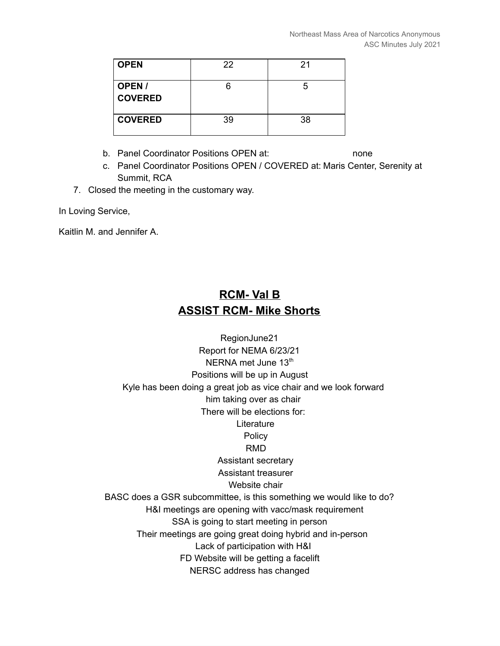| <b>OPEN</b>              | 22 | 21 |
|--------------------------|----|----|
| OPEN /<br><b>COVERED</b> |    |    |
| <b>COVERED</b>           | 39 | 38 |

- b. Panel Coordinator Positions OPEN at: none
- c. Panel Coordinator Positions OPEN / COVERED at: Maris Center, Serenity at Summit, RCA
- 7. Closed the meeting in the customary way.

In Loving Service,

Kaitlin M. and Jennifer A.

# **RCM- Val B ASSIST RCM- Mike Shorts**

RegionJune21 Report for NEMA 6/23/21 NERNA met June 13<sup>th</sup> Positions will be up in August Kyle has been doing a great job as vice chair and we look forward him taking over as chair There will be elections for: **Literature Policy** RMD Assistant secretary Assistant treasurer Website chair BASC does a GSR subcommittee, is this something we would like to do? H&I meetings are opening with vacc/mask requirement SSA is going to start meeting in person Their meetings are going great doing hybrid and in-person Lack of participation with H&I FD Website will be getting a facelift NERSC address has changed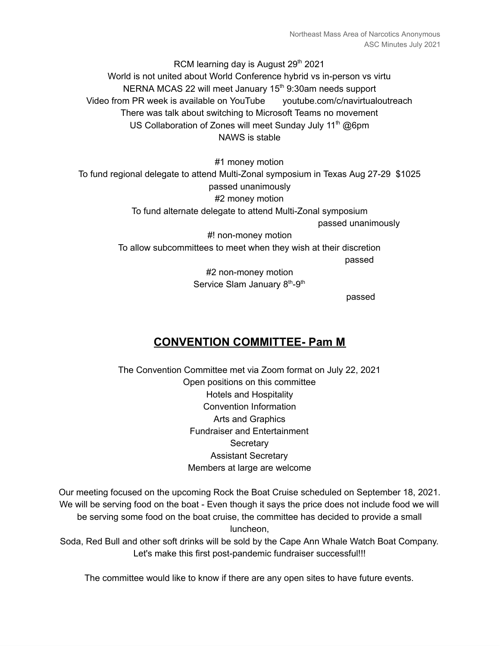RCM learning day is August 29<sup>th</sup> 2021 World is not united about World Conference hybrid vs in-person vs virtu NERNA MCAS 22 will meet January 15<sup>th</sup> 9:30am needs support Video from PR week is available on YouTube youtube.com/c/navirtualoutreach There was talk about switching to Microsoft Teams no movement US Collaboration of Zones will meet Sunday July 11<sup>th</sup> @6pm NAWS is stable

#1 money motion To fund regional delegate to attend Multi-Zonal symposium in Texas Aug 27-29 \$1025 passed unanimously #2 money motion To fund alternate delegate to attend Multi-Zonal symposium passed unanimously #! non-money motion

To allow subcommittees to meet when they wish at their discretion passed #2 non-money motion

Service Slam January 8<sup>th</sup>-9<sup>th</sup>

passed

# **CONVENTION COMMITTEE- Pam M**

The Convention Committee met via Zoom format on July 22, 2021 Open positions on this committee Hotels and Hospitality Convention Information Arts and Graphics Fundraiser and Entertainment **Secretary** Assistant Secretary Members at large are welcome

Our meeting focused on the upcoming Rock the Boat Cruise scheduled on September 18, 2021. We will be serving food on the boat - Even though it says the price does not include food we will be serving some food on the boat cruise, the committee has decided to provide a small luncheon,

Soda, Red Bull and other soft drinks will be sold by the Cape Ann Whale Watch Boat Company. Let's make this first post-pandemic fundraiser successful!!!

The committee would like to know if there are any open sites to have future events.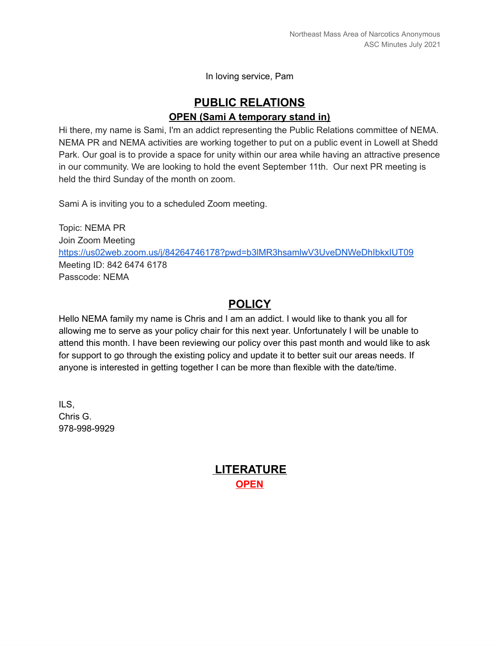In loving service, Pam

### **PUBLIC RELATIONS OPEN (Sami A temporary stand in)**

Hi there, my name is Sami, I'm an addict representing the Public Relations committee of NEMA. NEMA PR and NEMA activities are working together to put on a public event in Lowell at Shedd Park. Our goal is to provide a space for unity within our area while having an attractive presence in our community. We are looking to hold the event September 11th. Our next PR meeting is held the third Sunday of the month on zoom.

Sami A is inviting you to a scheduled Zoom meeting.

Topic: NEMA PR Join Zoom Meeting <https://us02web.zoom.us/j/84264746178?pwd=b3lMR3hsamlwV3UveDNWeDhIbkxIUT09> Meeting ID: 842 6474 6178 Passcode: NEMA

### **POLICY**

Hello NEMA family my name is Chris and I am an addict. I would like to thank you all for allowing me to serve as your policy chair for this next year. Unfortunately I will be unable to attend this month. I have been reviewing our policy over this past month and would like to ask for support to go through the existing policy and update it to better suit our areas needs. If anyone is interested in getting together I can be more than flexible with the date/time.

ILS, Chris G. 978-998-9929

### **LITERATURE OPEN**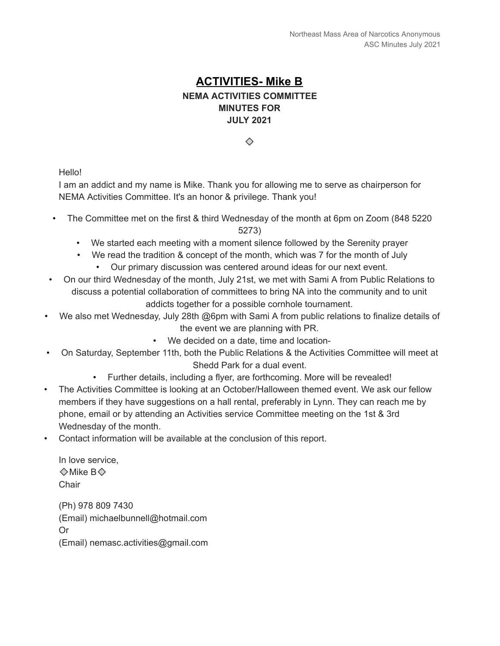### **ACTIVITIES- Mike B NEMA ACTIVITIES COMMITTEE MINUTES FOR JULY 2021**

 $\oslash$ 

Hello!

I am an addict and my name is Mike. Thank you for allowing me to serve as chairperson for NEMA Activities Committee. It's an honor & privilege. Thank you!

- The Committee met on the first & third Wednesday of the month at 6pm on Zoom (848 5220 5273)
	- We started each meeting with a moment silence followed by the Serenity prayer
	- We read the tradition & concept of the month, which was 7 for the month of July • Our primary discussion was centered around ideas for our next event.
- On our third Wednesday of the month, July 21st, we met with Sami A from Public Relations to discuss a potential collaboration of committees to bring NA into the community and to unit addicts together for a possible cornhole tournament.
- We also met Wednesday, July 28th @6pm with Sami A from public relations to finalize details of the event we are planning with PR.
	- We decided on a date, time and location-
- On Saturday, September 11th, both the Public Relations & the Activities Committee will meet at Shedd Park for a dual event.
	- Further details, including a flyer, are forthcoming. More will be revealed!
- The Activities Committee is looking at an October/Halloween themed event. We ask our fellow members if they have suggestions on a hall rental, preferably in Lynn. They can reach me by phone, email or by attending an Activities service Committee meeting on the 1st & 3rd Wednesday of the month.
- Contact information will be available at the conclusion of this report.

In love service,  $\otimes$  Mike B $\otimes$ **Chair** 

(Ph) 978 809 7430 (Email) michaelbunnell@hotmail.com Or (Email) nemasc.activities@gmail.com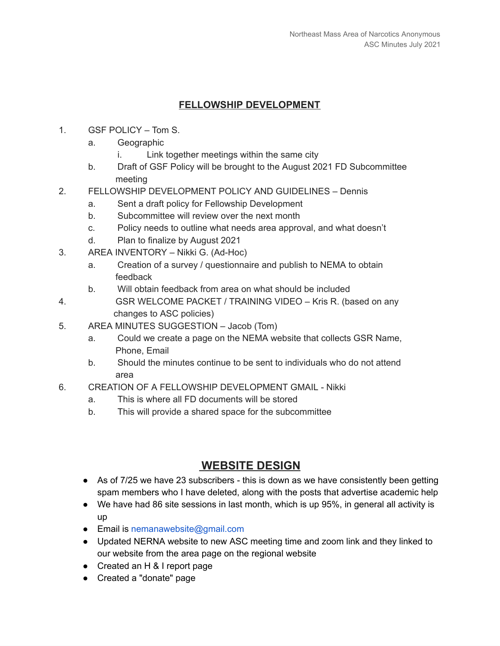#### **FELLOWSHIP DEVELOPMENT**

- 1. GSF POLICY Tom S.
	- a. Geographic
		- i. Link together meetings within the same city
	- b. Draft of GSF Policy will be brought to the August 2021 FD Subcommittee meeting
- 2. FELLOWSHIP DEVELOPMENT POLICY AND GUIDELINES Dennis
	- a. Sent a draft policy for Fellowship Development
	- b. Subcommittee will review over the next month
	- c. Policy needs to outline what needs area approval, and what doesn't
	- d. Plan to finalize by August 2021
- 3. AREA INVENTORY Nikki G. (Ad-Hoc)
	- a. Creation of a survey / questionnaire and publish to NEMA to obtain feedback
	- b. Will obtain feedback from area on what should be included
- 4. GSR WELCOME PACKET / TRAINING VIDEO Kris R. (based on any changes to ASC policies)
- 5. AREA MINUTES SUGGESTION Jacob (Tom)
	- a. Could we create a page on the NEMA website that collects GSR Name, Phone, Email
	- b. Should the minutes continue to be sent to individuals who do not attend area
- 6. CREATION OF A FELLOWSHIP DEVELOPMENT GMAIL Nikki
	- a. This is where all FD documents will be stored
	- b. This will provide a shared space for the subcommittee

#### **WEBSITE DESIGN**

- As of 7/25 we have 23 subscribers this is down as we have consistently been getting spam members who I have deleted, along with the posts that advertise academic help
- We have had 86 site sessions in last month, which is up 95%, in general all activity is up
- Email is nemanawebsite@gmail.com
- Updated NERNA website to new ASC meeting time and zoom link and they linked to our website from the area page on the regional website
- Created an H & I report page
- Created a "donate" page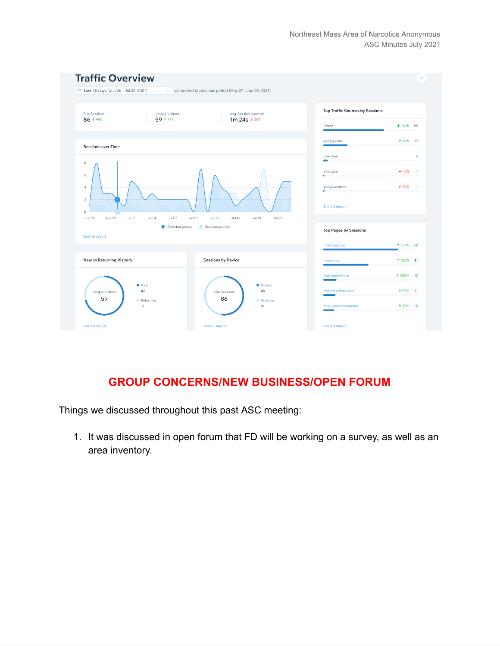

# **GROUP CONCERNS/NEW BUSINESS/OPEN FORUM**

Things we discussed throughout this past ASC meeting:

1. It was discussed in open forum that FD will be working on a survey, as well as an area inventory.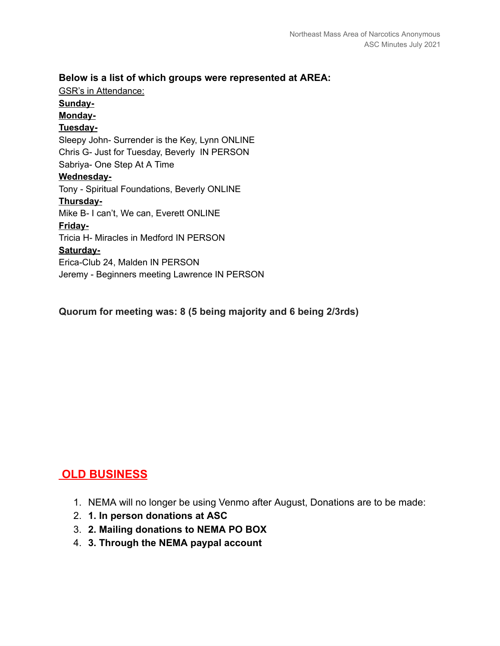#### **Below is a list of which groups were represented at AREA:**

GSR's in Attendance: **Sunday-Monday-Tuesday-**Sleepy John- Surrender is the Key, Lynn ONLINE Chris G- Just for Tuesday, Beverly IN PERSON Sabriya- One Step At A Time **Wednesday-**Tony - Spiritual Foundations, Beverly ONLINE **Thursday-**Mike B- I can't, We can, Everett ONLINE **Friday-**Tricia H- Miracles in Medford IN PERSON **Saturday-**Erica-Club 24, Malden IN PERSON Jeremy - Beginners meeting Lawrence IN PERSON

**Quorum for meeting was: 8 (5 being majority and 6 being 2/3rds)**

# **OLD BUSINESS**

- 1. NEMA will no longer be using Venmo after August, Donations are to be made:
- 2. **1. In person donations at ASC**
- 3. **2. Mailing donations to NEMA PO BOX**
- 4. **3. Through the NEMA paypal account**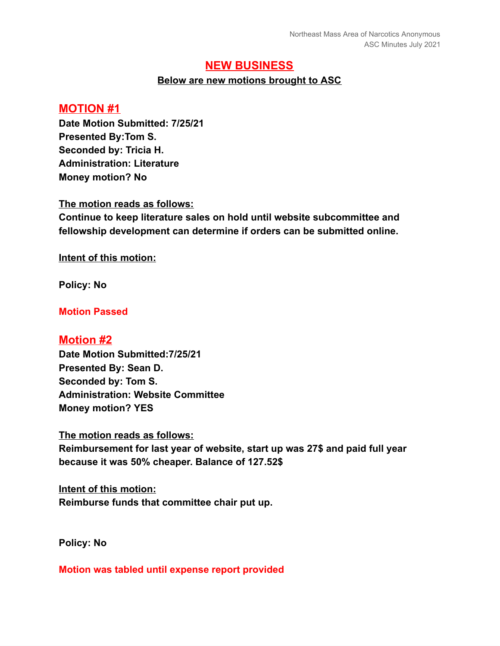#### **NEW BUSINESS**

#### **Below are new motions brought to ASC**

#### **MOTION #1**

**Date Motion Submitted: 7/25/21 Presented By:Tom S. Seconded by: Tricia H. Administration: Literature Money motion? No**

**The motion reads as follows:**

**Continue to keep literature sales on hold until website subcommittee and fellowship development can determine if orders can be submitted online.**

**Intent of this motion:**

**Policy: No**

#### **Motion Passed**

#### **Motion #2**

**Date Motion Submitted:7/25/21 Presented By: Sean D. Seconded by: Tom S. Administration: Website Committee Money motion? YES**

**The motion reads as follows:**

**Reimbursement for last year of website, start up was 27\$ and paid full year because it was 50% cheaper. Balance of 127.52\$**

**Intent of this motion: Reimburse funds that committee chair put up.**

**Policy: No**

**Motion was tabled until expense report provided**